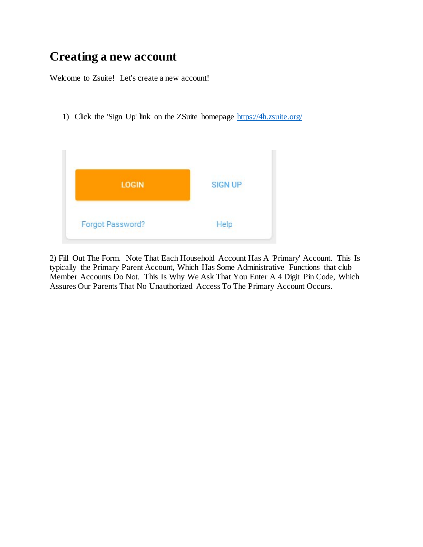## **Creating a new account**

Welcome to Zsuite! Let's create a new account!

1) Click the 'Sign Up' link on the ZSuite homepage<https://4h.zsuite.org/>



2) Fill Out The Form. Note That Each Household Account Has A 'Primary' Account. This Is typically the Primary Parent Account, Which Has Some Administrative Functions that club Member Accounts Do Not. This Is Why We Ask That You Enter A 4 Digit Pin Code, Which Assures Our Parents That No Unauthorized Access To The Primary Account Occurs.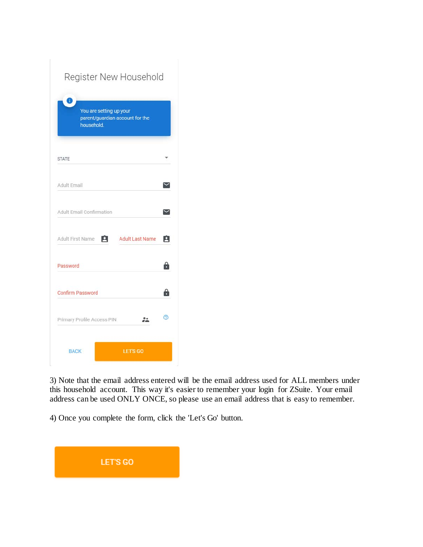| Register New Household                                                        |                        |   |
|-------------------------------------------------------------------------------|------------------------|---|
| Ŧ<br>You are setting up your<br>parent/guardian account for the<br>household. |                        |   |
| <b>STATE</b>                                                                  |                        |   |
| Adult Email                                                                   |                        |   |
| Adult Fmail Confirmation                                                      |                        |   |
| A<br>Adult First Name                                                         | <b>Adult Last Name</b> | Ĥ |
| Password                                                                      |                        | 8 |
| <b>Confirm Password</b>                                                       |                        | 8 |
| Primary Profile Access PIN                                                    |                        | ൫ |
| <b>BACK</b>                                                                   | LET'S GO               |   |

3) Note that the email address entered will be the email address used for ALL members under this household account. This way it's easier to remember your login for ZSuite. Your email address can be used ONLY ONCE, so please use an email address that is easy to remember.

4) Once you complete the form, click the 'Let's Go' button.